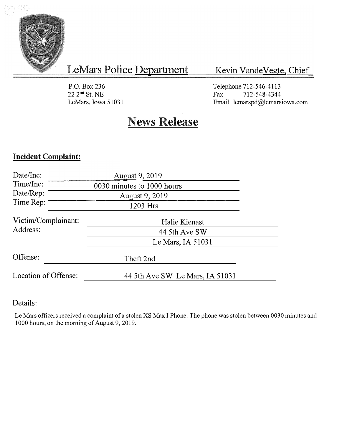

# LeMars Police Department

## Kevin Vande Vegte, Chief

P.O. Box236 22 2 **nd** St. NE LeMars, Iowa 51031 Telephone 712-546-4113<br>Fax 712-548-4344 712-548-4344 Email lemarspd@lemarsiowa.com

# **News Release**

### Incident Complaint:

| Date/Inc:            |                            |                                 |  |  |
|----------------------|----------------------------|---------------------------------|--|--|
| Time/Inc:            | 0030 minutes to 1000 hours |                                 |  |  |
| Date/Rep:            | August 9, 2019             |                                 |  |  |
| Time Rep:            | 1203 Hrs                   |                                 |  |  |
| Victim/Complainant:  |                            | Halie Kienast                   |  |  |
| Address:             |                            | 44 5th Ave SW                   |  |  |
|                      |                            | Le Mars, IA 51031               |  |  |
| Offense:             |                            | Theft 2nd                       |  |  |
| Location of Offense: |                            | 44 5th Ave SW Le Mars, IA 51031 |  |  |

#### Details:

Le Mars officers received a complaint of a stolen XS Max I Phone. The phone was stolen between 0030 minutes and 1000 hours, on the morning of August 9, 2019.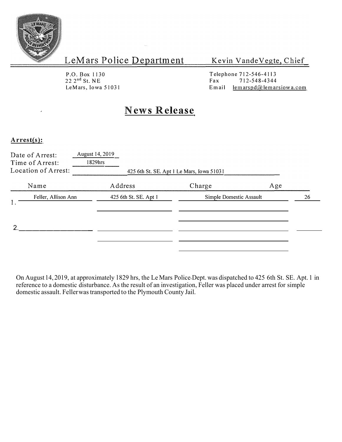

LeMars Police Department

Kevin Vande Vegte, Chief

P.O. Box 1130 22 2 nd St. NE

Telephone 712-546-4113<br>Fax 712-548-4344 Fax  $712-548-4344$ <br>Email lemarspd@lemar LeMars, Iowa 51031 Email lemarspd@lemarsiow a.com

## **News Release**

#### **Arrest(s):**

| Date of Arrest:<br>Time of Arrest:<br>Location of Arrest: | August 14, 2019<br>1829hrs | 425 6th St. SE. Apt 1 Le Mars, Iowa 51031 |    |
|-----------------------------------------------------------|----------------------------|-------------------------------------------|----|
| Name                                                      | Address                    | Charge<br>Age                             |    |
| Feller, Allison Ann                                       | 425 6th St. SE. Apt 1      | Simple Domestic Assault                   | 26 |
|                                                           |                            |                                           |    |

On August 14, 2019, at approximately l 829 hrs, the Le Mars Police Dept. was dispatched to 425 6th St. SE. Apt. 1 in reference to a domestic disturbance. As the result of an investigation, Feller was placed under arrest for simple domestic assault. Feller was transported to the Plymouth County Jail.